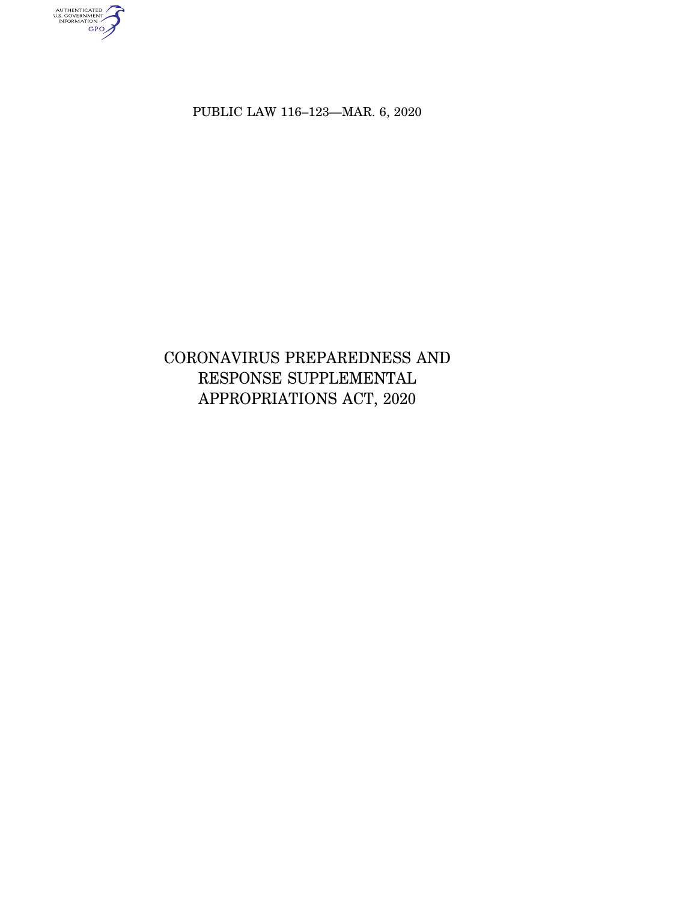authenticated<br>u.s. government<br>information<br>GPO

PUBLIC LAW 116–123—MAR. 6, 2020

CORONAVIRUS PREPAREDNESS AND RESPONSE SUPPLEMENTAL APPROPRIATIONS ACT, 2020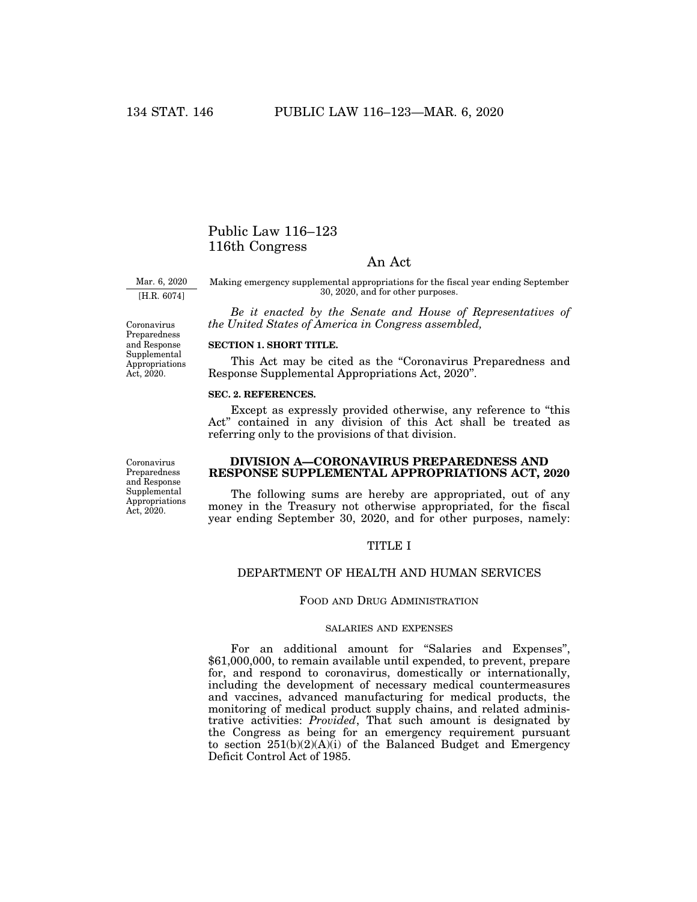# Public Law 116–123 116th Congress

# An Act

Mar. 6, 2020 [H.R. 6074]

Coronavirus Preparedness and Response Supplemental Appropriations Act, 2020.

Making emergency supplemental appropriations for the fiscal year ending September 30, 2020, and for other purposes.

*Be it enacted by the Senate and House of Representatives of the United States of America in Congress assembled,* 

**SECTION 1. SHORT TITLE.** 

This Act may be cited as the "Coronavirus Preparedness and Response Supplemental Appropriations Act, 2020''.

# **SEC. 2. REFERENCES.**

Except as expressly provided otherwise, any reference to "this Act'' contained in any division of this Act shall be treated as referring only to the provisions of that division.

Coronavirus Preparedness and Response Supplemental Appropriations Act, 2020.

# **DIVISION A—CORONAVIRUS PREPAREDNESS AND RESPONSE SUPPLEMENTAL APPROPRIATIONS ACT, 2020**

The following sums are hereby are appropriated, out of any money in the Treasury not otherwise appropriated, for the fiscal year ending September 30, 2020, and for other purposes, namely:

## TITLE I

# DEPARTMENT OF HEALTH AND HUMAN SERVICES

## FOOD AND DRUG ADMINISTRATION

## SALARIES AND EXPENSES

For an additional amount for "Salaries and Expenses", \$61,000,000, to remain available until expended, to prevent, prepare for, and respond to coronavirus, domestically or internationally, including the development of necessary medical countermeasures and vaccines, advanced manufacturing for medical products, the monitoring of medical product supply chains, and related administrative activities: *Provided*, That such amount is designated by the Congress as being for an emergency requirement pursuant to section  $251(b)(2)(A)(i)$  of the Balanced Budget and Emergency Deficit Control Act of 1985.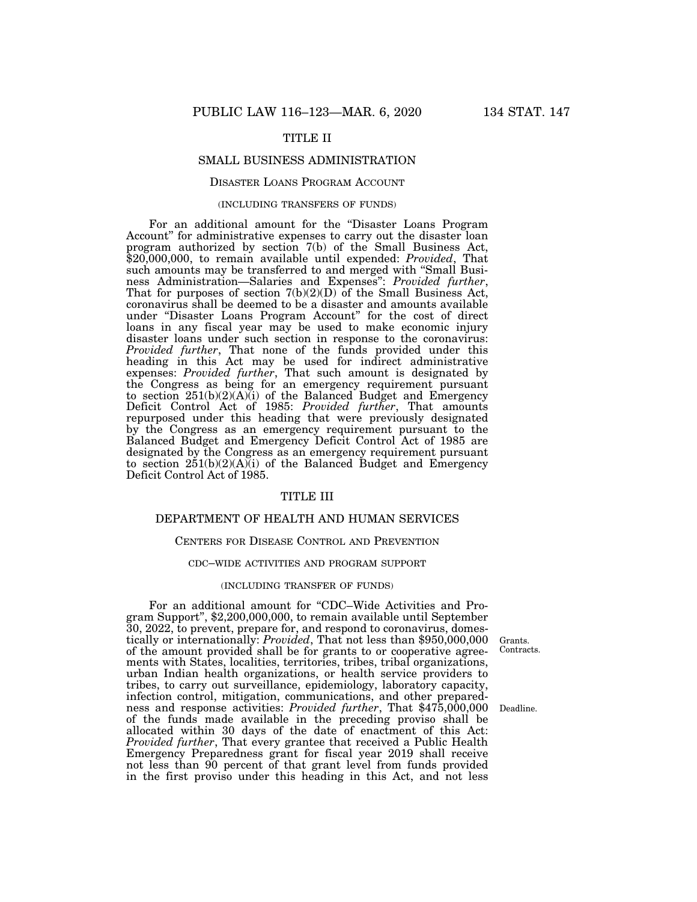# TITLE II

## SMALL BUSINESS ADMINISTRATION

## DISASTER LOANS PROGRAM ACCOUNT

#### (INCLUDING TRANSFERS OF FUNDS)

For an additional amount for the "Disaster Loans Program Account'' for administrative expenses to carry out the disaster loan program authorized by section 7(b) of the Small Business Act, \$20,000,000, to remain available until expended: *Provided*, That such amounts may be transferred to and merged with ''Small Business Administration—Salaries and Expenses": *Provided further*, That for purposes of section 7(b)(2)(D) of the Small Business Act, coronavirus shall be deemed to be a disaster and amounts available under ''Disaster Loans Program Account'' for the cost of direct loans in any fiscal year may be used to make economic injury disaster loans under such section in response to the coronavirus: *Provided further*, That none of the funds provided under this heading in this Act may be used for indirect administrative expenses: *Provided further*, That such amount is designated by the Congress as being for an emergency requirement pursuant to section 251(b)(2)(A)(i) of the Balanced Budget and Emergency Deficit Control Act of 1985: *Provided further*, That amounts repurposed under this heading that were previously designated by the Congress as an emergency requirement pursuant to the Balanced Budget and Emergency Deficit Control Act of 1985 are designated by the Congress as an emergency requirement pursuant to section  $251(b)(2)(A)(i)$  of the Balanced Budget and Emergency Deficit Control Act of 1985.

# TITLE III

# DEPARTMENT OF HEALTH AND HUMAN SERVICES

#### CENTERS FOR DISEASE CONTROL AND PREVENTION

#### CDC–WIDE ACTIVITIES AND PROGRAM SUPPORT

#### (INCLUDING TRANSFER OF FUNDS)

For an additional amount for "CDC–Wide Activities and Program Support'', \$2,200,000,000, to remain available until September 30, 2022, to prevent, prepare for, and respond to coronavirus, domestically or internationally: *Provided*, That not less than \$950,000,000 of the amount provided shall be for grants to or cooperative agreements with States, localities, territories, tribes, tribal organizations, urban Indian health organizations, or health service providers to tribes, to carry out surveillance, epidemiology, laboratory capacity, infection control, mitigation, communications, and other preparedness and response activities: *Provided further*, That \$475,000,000 of the funds made available in the preceding proviso shall be allocated within 30 days of the date of enactment of this Act: *Provided further*, That every grantee that received a Public Health Emergency Preparedness grant for fiscal year 2019 shall receive not less than 90 percent of that grant level from funds provided in the first proviso under this heading in this Act, and not less

Grants. Contracts.

Deadline.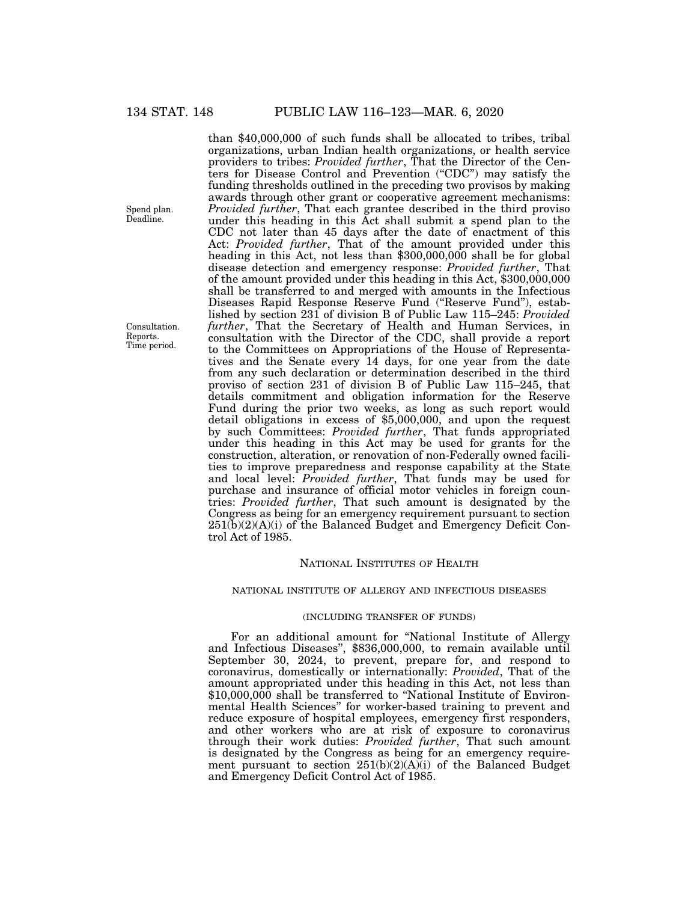than \$40,000,000 of such funds shall be allocated to tribes, tribal organizations, urban Indian health organizations, or health service providers to tribes: *Provided further*, That the Director of the Centers for Disease Control and Prevention (''CDC'') may satisfy the funding thresholds outlined in the preceding two provisos by making awards through other grant or cooperative agreement mechanisms: Provided further, That each grantee described in the third proviso under this heading in this Act shall submit a spend plan to the CDC not later than 45 days after the date of enactment of this Act: *Provided further*, That of the amount provided under this heading in this Act, not less than \$300,000,000 shall be for global disease detection and emergency response: *Provided further*, That of the amount provided under this heading in this Act, \$300,000,000 shall be transferred to and merged with amounts in the Infectious Diseases Rapid Response Reserve Fund (''Reserve Fund''), established by section 231 of division B of Public Law 115–245: *Provided further*, That the Secretary of Health and Human Services, in consultation with the Director of the CDC, shall provide a report to the Committees on Appropriations of the House of Representatives and the Senate every 14 days, for one year from the date from any such declaration or determination described in the third proviso of section 231 of division B of Public Law 115–245, that details commitment and obligation information for the Reserve Fund during the prior two weeks, as long as such report would detail obligations in excess of \$5,000,000, and upon the request by such Committees: *Provided further*, That funds appropriated under this heading in this Act may be used for grants for the construction, alteration, or renovation of non-Federally owned facilities to improve preparedness and response capability at the State and local level: *Provided further*, That funds may be used for purchase and insurance of official motor vehicles in foreign countries: *Provided further*, That such amount is designated by the Congress as being for an emergency requirement pursuant to section  $251(b)(2)(A)(i)$  of the Balanced Budget and Emergency Deficit Control Act of 1985.

# NATIONAL INSTITUTES OF HEALTH

## NATIONAL INSTITUTE OF ALLERGY AND INFECTIOUS DISEASES

#### (INCLUDING TRANSFER OF FUNDS)

For an additional amount for ''National Institute of Allergy and Infectious Diseases'', \$836,000,000, to remain available until September 30, 2024, to prevent, prepare for, and respond to coronavirus, domestically or internationally: *Provided*, That of the amount appropriated under this heading in this Act, not less than \$10,000,000 shall be transferred to "National Institute of Environmental Health Sciences'' for worker-based training to prevent and reduce exposure of hospital employees, emergency first responders, and other workers who are at risk of exposure to coronavirus through their work duties: *Provided further*, That such amount is designated by the Congress as being for an emergency requirement pursuant to section 251(b)(2)(A)(i) of the Balanced Budget and Emergency Deficit Control Act of 1985.

Spend plan. Deadline.

Consultation. Reports. Time period.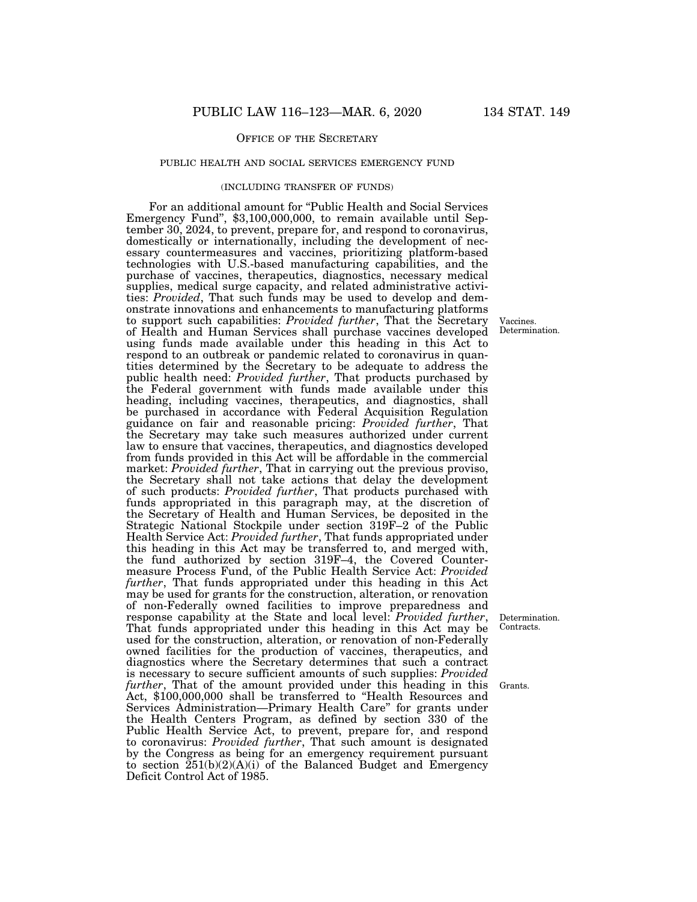## OFFICE OF THE SECRETARY

## PUBLIC HEALTH AND SOCIAL SERVICES EMERGENCY FUND

## (INCLUDING TRANSFER OF FUNDS)

For an additional amount for ''Public Health and Social Services Emergency Fund'', \$3,100,000,000, to remain available until September 30, 2024, to prevent, prepare for, and respond to coronavirus, domestically or internationally, including the development of necessary countermeasures and vaccines, prioritizing platform-based technologies with U.S.-based manufacturing capabilities, and the purchase of vaccines, therapeutics, diagnostics, necessary medical supplies, medical surge capacity, and related administrative activities: *Provided*, That such funds may be used to develop and demonstrate innovations and enhancements to manufacturing platforms to support such capabilities: *Provided further*, That the Secretary of Health and Human Services shall purchase vaccines developed using funds made available under this heading in this Act to respond to an outbreak or pandemic related to coronavirus in quantities determined by the Secretary to be adequate to address the public health need: *Provided further*, That products purchased by the Federal government with funds made available under this heading, including vaccines, therapeutics, and diagnostics, shall be purchased in accordance with Federal Acquisition Regulation guidance on fair and reasonable pricing: *Provided further*, That the Secretary may take such measures authorized under current law to ensure that vaccines, therapeutics, and diagnostics developed from funds provided in this Act will be affordable in the commercial market: *Provided further*, That in carrying out the previous proviso, the Secretary shall not take actions that delay the development of such products: *Provided further*, That products purchased with funds appropriated in this paragraph may, at the discretion of the Secretary of Health and Human Services, be deposited in the Strategic National Stockpile under section 319F–2 of the Public Health Service Act: *Provided further*, That funds appropriated under this heading in this Act may be transferred to, and merged with, the fund authorized by section 319F–4, the Covered Countermeasure Process Fund, of the Public Health Service Act: *Provided further*, That funds appropriated under this heading in this Act may be used for grants for the construction, alteration, or renovation of non-Federally owned facilities to improve preparedness and response capability at the State and local level: *Provided further*, That funds appropriated under this heading in this Act may be used for the construction, alteration, or renovation of non-Federally owned facilities for the production of vaccines, therapeutics, and diagnostics where the Secretary determines that such a contract is necessary to secure sufficient amounts of such supplies: *Provided further*, That of the amount provided under this heading in this Act, \$100,000,000 shall be transferred to ''Health Resources and Services Administration—Primary Health Care'' for grants under the Health Centers Program, as defined by section 330 of the Public Health Service Act, to prevent, prepare for, and respond to coronavirus: *Provided further*, That such amount is designated by the Congress as being for an emergency requirement pursuant to section  $\tilde{2}51(b)(2)(A)(i)$  of the Balanced Budget and Emergency Deficit Control Act of 1985.

Vaccines. Determination.

Determination. Contracts.

Grants.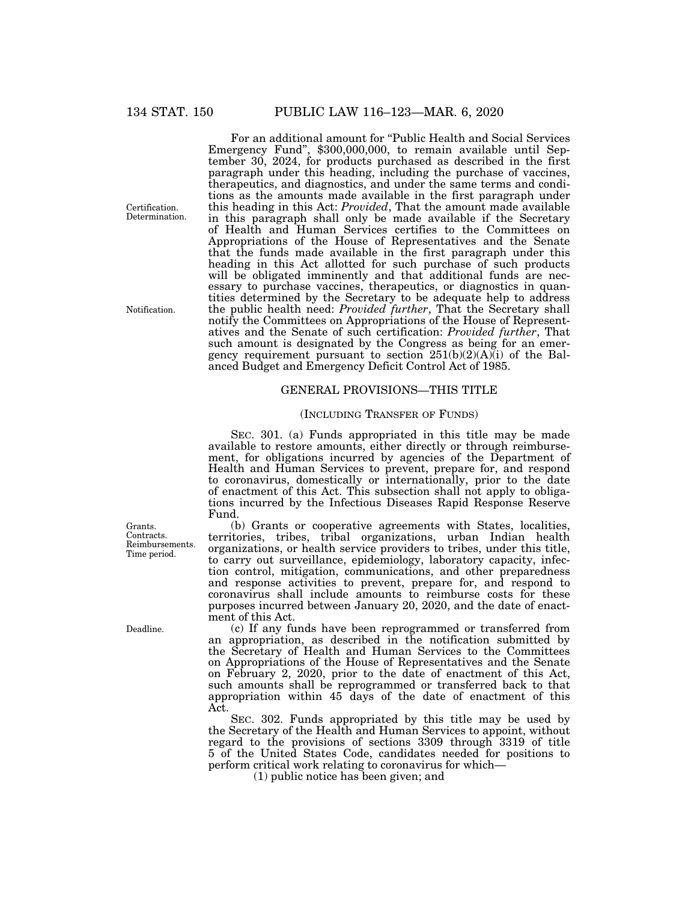For an additional amount for "Public Health and Social Services Emergency Fund'', \$300,000,000, to remain available until September 30, 2024, for products purchased as described in the first paragraph under this heading, including the purchase of vaccines, therapeutics, and diagnostics, and under the same terms and conditions as the amounts made available in the first paragraph under this heading in this Act: *Provided*, That the amount made available in this paragraph shall only be made available if the Secretary of Health and Human Services certifies to the Committees on Appropriations of the House of Representatives and the Senate that the funds made available in the first paragraph under this heading in this Act allotted for such purchase of such products will be obligated imminently and that additional funds are necessary to purchase vaccines, therapeutics, or diagnostics in quantities determined by the Secretary to be adequate help to address the public health need: *Provided further*, That the Secretary shall notify the Committees on Appropriations of the House of Representatives and the Senate of such certification: *Provided further*, That such amount is designated by the Congress as being for an emergency requirement pursuant to section  $251(b)(2)(A)(i)$  of the Balanced Budget and Emergency Deficit Control Act of 1985.

## GENERAL PROVISIONS—THIS TITLE

## (INCLUDING TRANSFER OF FUNDS)

SEC. 301. (a) Funds appropriated in this title may be made available to restore amounts, either directly or through reimbursement, for obligations incurred by agencies of the Department of Health and Human Services to prevent, prepare for, and respond to coronavirus, domestically or internationally, prior to the date of enactment of this Act. This subsection shall not apply to obligations incurred by the Infectious Diseases Rapid Response Reserve Fund.

(b) Grants or cooperative agreements with States, localities, territories, tribes, tribal organizations, urban Indian health organizations, or health service providers to tribes, under this title, to carry out surveillance, epidemiology, laboratory capacity, infection control, mitigation, communications, and other preparedness and response activities to prevent, prepare for, and respond to coronavirus shall include amounts to reimburse costs for these purposes incurred between January 20, 2020, and the date of enactment of this Act.

(c) If any funds have been reprogrammed or transferred from an appropriation, as described in the notification submitted by the Secretary of Health and Human Services to the Committees on Appropriations of the House of Representatives and the Senate on February 2, 2020, prior to the date of enactment of this Act, such amounts shall be reprogrammed or transferred back to that appropriation within 45 days of the date of enactment of this Act.

SEC. 302. Funds appropriated by this title may be used by the Secretary of the Health and Human Services to appoint, without regard to the provisions of sections 3309 through 3319 of title 5 of the United States Code, candidates needed for positions to perform critical work relating to coronavirus for which—

(1) public notice has been given; and

Certification. **Determination** 

Notification.

Grants. Contracts. Reimbursements. Time period.

Deadline.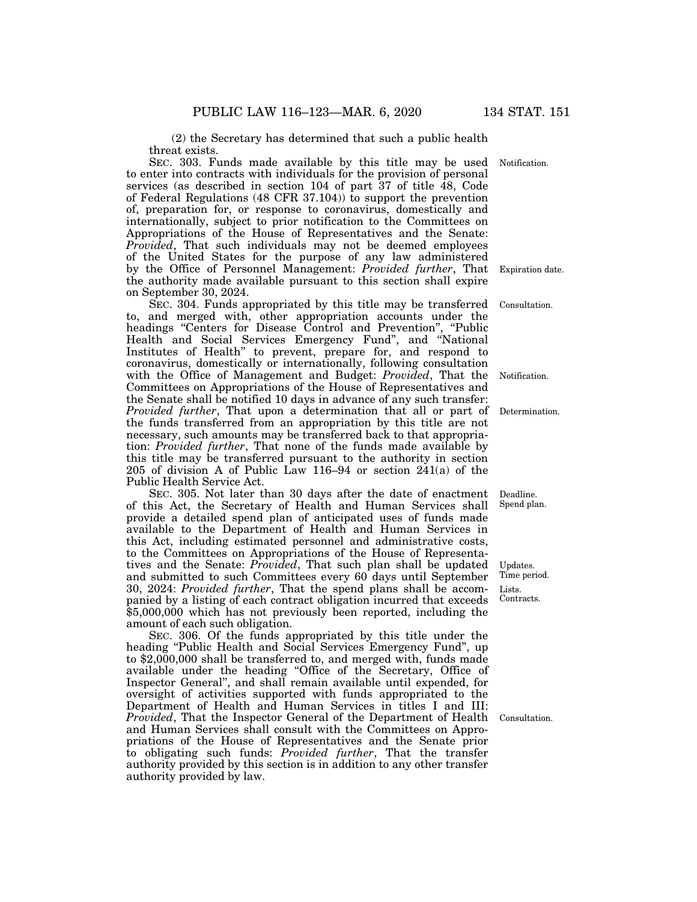(2) the Secretary has determined that such a public health threat exists.

SEC. 303. Funds made available by this title may be used to enter into contracts with individuals for the provision of personal services (as described in section 104 of part 37 of title 48, Code of Federal Regulations (48 CFR 37.104)) to support the prevention of, preparation for, or response to coronavirus, domestically and internationally, subject to prior notification to the Committees on Appropriations of the House of Representatives and the Senate: *Provided*, That such individuals may not be deemed employees of the United States for the purpose of any law administered by the Office of Personnel Management: *Provided further*, That the authority made available pursuant to this section shall expire on September 30, 2024.

SEC. 304. Funds appropriated by this title may be transferred to, and merged with, other appropriation accounts under the headings "Centers for Disease Control and Prevention", "Public Health and Social Services Emergency Fund'', and ''National Institutes of Health'' to prevent, prepare for, and respond to coronavirus, domestically or internationally, following consultation with the Office of Management and Budget: *Provided*, That the Committees on Appropriations of the House of Representatives and the Senate shall be notified 10 days in advance of any such transfer: *Provided further*, That upon a determination that all or part of the funds transferred from an appropriation by this title are not necessary, such amounts may be transferred back to that appropriation: *Provided further*, That none of the funds made available by this title may be transferred pursuant to the authority in section 205 of division A of Public Law 116–94 or section 241(a) of the Public Health Service Act.

SEC. 305. Not later than 30 days after the date of enactment of this Act, the Secretary of Health and Human Services shall provide a detailed spend plan of anticipated uses of funds made available to the Department of Health and Human Services in this Act, including estimated personnel and administrative costs, to the Committees on Appropriations of the House of Representatives and the Senate: *Provided*, That such plan shall be updated and submitted to such Committees every 60 days until September 30, 2024: *Provided further*, That the spend plans shall be accompanied by a listing of each contract obligation incurred that exceeds \$5,000,000 which has not previously been reported, including the amount of each such obligation.

SEC. 306. Of the funds appropriated by this title under the heading "Public Health and Social Services Emergency Fund", up to \$2,000,000 shall be transferred to, and merged with, funds made available under the heading ''Office of the Secretary, Office of Inspector General'', and shall remain available until expended, for oversight of activities supported with funds appropriated to the Department of Health and Human Services in titles I and III: *Provided*, That the Inspector General of the Department of Health and Human Services shall consult with the Committees on Appropriations of the House of Representatives and the Senate prior to obligating such funds: *Provided further*, That the transfer authority provided by this section is in addition to any other transfer authority provided by law.

Notification.

Expiration date.

Consultation.

Notification.

Determination.

Deadline. Spend plan.

Lists. Contracts. Updates. Time period.

Consultation.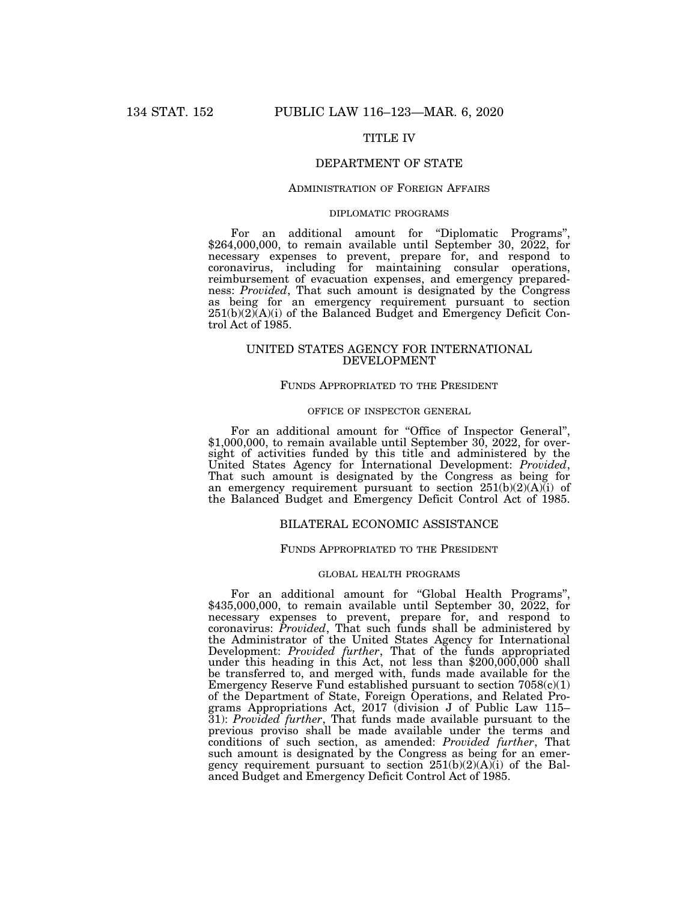# TITLE IV

# DEPARTMENT OF STATE

## ADMINISTRATION OF FOREIGN AFFAIRS

## DIPLOMATIC PROGRAMS

For an additional amount for ''Diplomatic Programs'', \$264,000,000, to remain available until September 30, 2022, for necessary expenses to prevent, prepare for, and respond to coronavirus, including for maintaining consular operations, reimbursement of evacuation expenses, and emergency preparedness: *Provided*, That such amount is designated by the Congress as being for an emergency requirement pursuant to section 251(b)(2)(A)(i) of the Balanced Budget and Emergency Deficit Control Act of 1985.

## UNITED STATES AGENCY FOR INTERNATIONAL DEVELOPMENT

## FUNDS APPROPRIATED TO THE PRESIDENT

## OFFICE OF INSPECTOR GENERAL

For an additional amount for ''Office of Inspector General'', \$1,000,000, to remain available until September 30, 2022, for oversight of activities funded by this title and administered by the United States Agency for International Development: *Provided*, That such amount is designated by the Congress as being for an emergency requirement pursuant to section  $251(b)(2)(A)(i)$  of the Balanced Budget and Emergency Deficit Control Act of 1985.

## BILATERAL ECONOMIC ASSISTANCE

#### FUNDS APPROPRIATED TO THE PRESIDENT

#### GLOBAL HEALTH PROGRAMS

For an additional amount for "Global Health Programs",  $$435,000,000$ , to remain available until September 30,  $2022$ , for necessary expenses to prevent, prepare for, and respond to coronavirus: *Provided*, That such funds shall be administered by the Administrator of the United States Agency for International Development: *Provided further*, That of the funds appropriated under this heading in this Act, not less than \$200,000,000 shall be transferred to, and merged with, funds made available for the Emergency Reserve Fund established pursuant to section  $7058(c)(1)$ of the Department of State, Foreign Operations, and Related Programs Appropriations Act, 2017 (division J of Public Law 115– 31): *Provided further*, That funds made available pursuant to the previous proviso shall be made available under the terms and conditions of such section, as amended: *Provided further*, That such amount is designated by the Congress as being for an emergency requirement pursuant to section 251(b)(2)(A)(i) of the Balanced Budget and Emergency Deficit Control Act of 1985.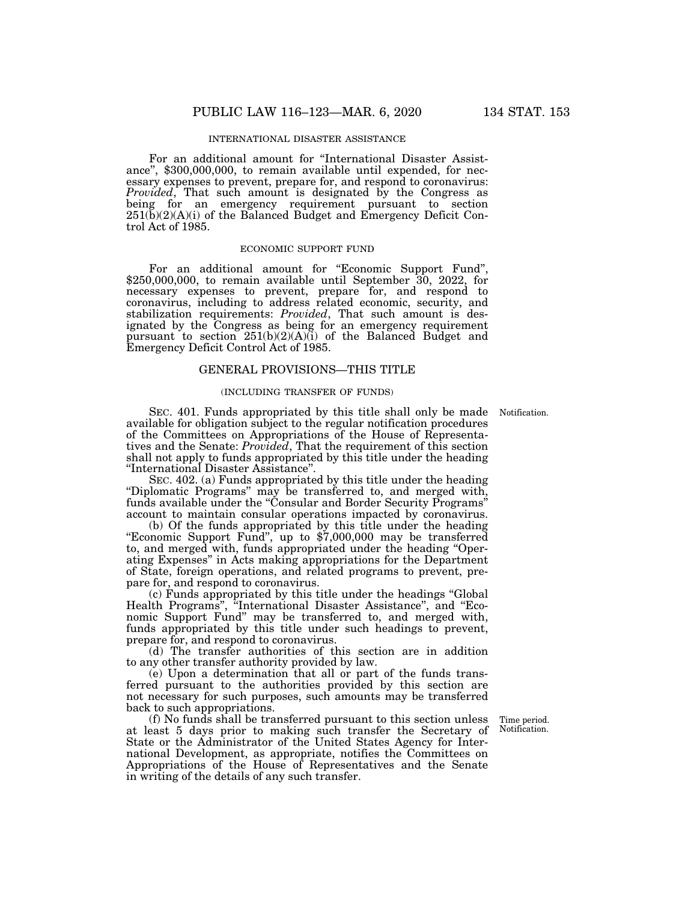For an additional amount for ''International Disaster Assistance'', \$300,000,000, to remain available until expended, for necessary expenses to prevent, prepare for, and respond to coronavirus: *Provided*, That such amount is designated by the Congress as being for an emergency requirement pursuant to section  $251(\overline{b})(2)(\overline{A})(i)$  of the Balanced Budget and Emergency Deficit Control Act of 1985.

#### ECONOMIC SUPPORT FUND

For an additional amount for "Economic Support Fund", \$250,000,000, to remain available until September 30, 2022, for necessary expenses to prevent, prepare for, and respond to coronavirus, including to address related economic, security, and stabilization requirements: *Provided*, That such amount is designated by the Congress as being for an emergency requirement pursuant to section 251(b)(2)(A)(i) of the Balanced Budget and Emergency Deficit Control Act of 1985.

#### GENERAL PROVISIONS—THIS TITLE

#### (INCLUDING TRANSFER OF FUNDS)

SEC. 401. Funds appropriated by this title shall only be made Notification. available for obligation subject to the regular notification procedures of the Committees on Appropriations of the House of Representatives and the Senate: *Provided*, That the requirement of this section shall not apply to funds appropriated by this title under the heading ''International Disaster Assistance''.

SEC. 402. (a) Funds appropriated by this title under the heading ''Diplomatic Programs'' may be transferred to, and merged with, funds available under the ''Consular and Border Security Programs'' account to maintain consular operations impacted by coronavirus.

(b) Of the funds appropriated by this title under the heading "Economic Support Fund", up to \$7,000,000 may be transferred to, and merged with, funds appropriated under the heading ''Operating Expenses'' in Acts making appropriations for the Department of State, foreign operations, and related programs to prevent, prepare for, and respond to coronavirus.

(c) Funds appropriated by this title under the headings ''Global Health Programs", "International Disaster Assistance", and "Economic Support Fund'' may be transferred to, and merged with, funds appropriated by this title under such headings to prevent, prepare for, and respond to coronavirus.

(d) The transfer authorities of this section are in addition to any other transfer authority provided by law.

(e) Upon a determination that all or part of the funds transferred pursuant to the authorities provided by this section are not necessary for such purposes, such amounts may be transferred back to such appropriations.

(f) No funds shall be transferred pursuant to this section unless at least 5 days prior to making such transfer the Secretary of State or the Administrator of the United States Agency for International Development, as appropriate, notifies the Committees on Appropriations of the House of Representatives and the Senate in writing of the details of any such transfer.

Time period. Notification.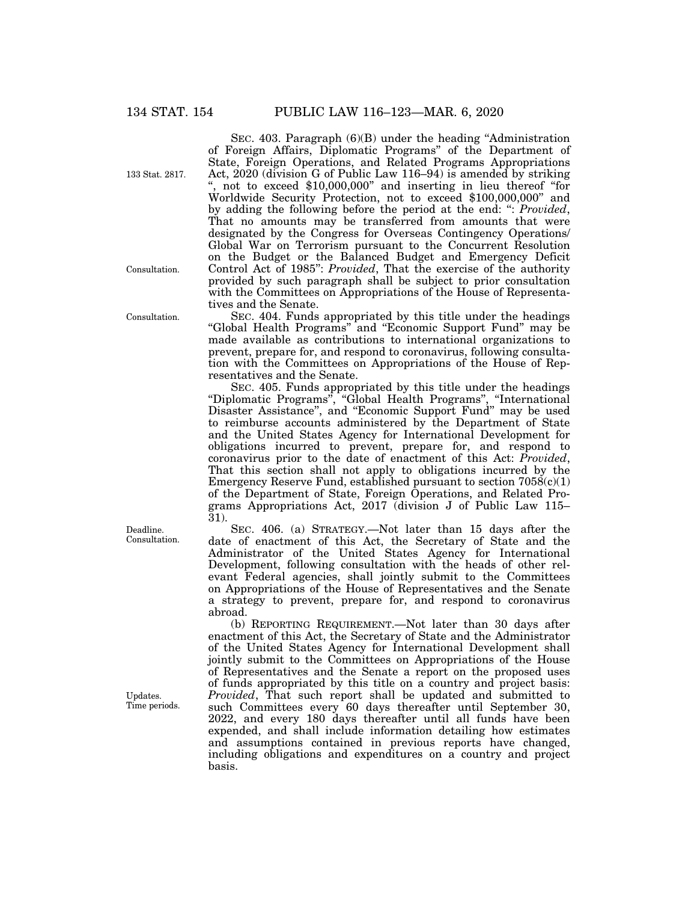133 Stat. 2817.

Consultation.

Consultation.

Deadline. Consultation.

Updates. Time periods.

SEC. 403. Paragraph  $(6)(B)$  under the heading "Administration" of Foreign Affairs, Diplomatic Programs'' of the Department of State, Foreign Operations, and Related Programs Appropriations Act, 2020 (division G of Public Law 116–94) is amended by striking '', not to exceed \$10,000,000'' and inserting in lieu thereof ''for Worldwide Security Protection, not to exceed \$100,000,000'' and by adding the following before the period at the end: '': *Provided*, That no amounts may be transferred from amounts that were designated by the Congress for Overseas Contingency Operations/ Global War on Terrorism pursuant to the Concurrent Resolution on the Budget or the Balanced Budget and Emergency Deficit Control Act of 1985'': *Provided*, That the exercise of the authority provided by such paragraph shall be subject to prior consultation with the Committees on Appropriations of the House of Representatives and the Senate.

SEC. 404. Funds appropriated by this title under the headings "Global Health Programs" and "Economic Support Fund" may be made available as contributions to international organizations to prevent, prepare for, and respond to coronavirus, following consultation with the Committees on Appropriations of the House of Representatives and the Senate.

SEC. 405. Funds appropriated by this title under the headings ''Diplomatic Programs'', ''Global Health Programs'', ''International Disaster Assistance", and "Economic Support Fund" may be used to reimburse accounts administered by the Department of State and the United States Agency for International Development for obligations incurred to prevent, prepare for, and respond to coronavirus prior to the date of enactment of this Act: *Provided*, That this section shall not apply to obligations incurred by the Emergency Reserve Fund, established pursuant to section  $7058(c)(1)$ of the Department of State, Foreign Operations, and Related Programs Appropriations Act, 2017 (division J of Public Law 115– 31).

SEC. 406. (a) STRATEGY.—Not later than 15 days after the date of enactment of this Act, the Secretary of State and the Administrator of the United States Agency for International Development, following consultation with the heads of other relevant Federal agencies, shall jointly submit to the Committees on Appropriations of the House of Representatives and the Senate a strategy to prevent, prepare for, and respond to coronavirus abroad.

(b) REPORTING REQUIREMENT.—Not later than 30 days after enactment of this Act, the Secretary of State and the Administrator of the United States Agency for International Development shall jointly submit to the Committees on Appropriations of the House of Representatives and the Senate a report on the proposed uses of funds appropriated by this title on a country and project basis: *Provided*, That such report shall be updated and submitted to such Committees every 60 days thereafter until September 30, 2022, and every 180 days thereafter until all funds have been expended, and shall include information detailing how estimates and assumptions contained in previous reports have changed, including obligations and expenditures on a country and project basis.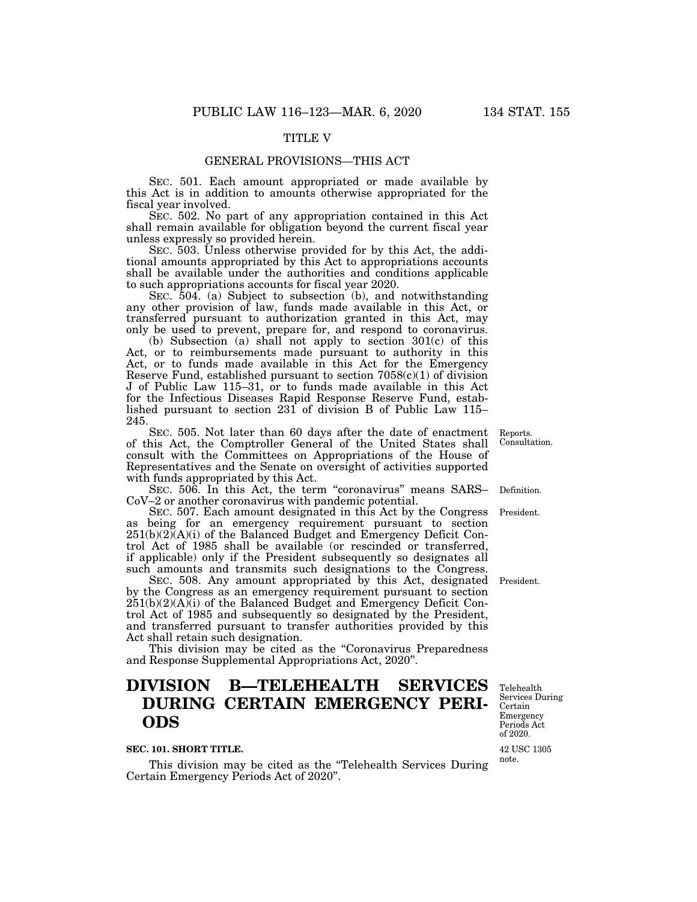## TITLE V

#### GENERAL PROVISIONS—THIS ACT

SEC. 501. Each amount appropriated or made available by this Act is in addition to amounts otherwise appropriated for the fiscal year involved.

SEC. 502. No part of any appropriation contained in this Act shall remain available for obligation beyond the current fiscal year unless expressly so provided herein.

SEC. 503. Unless otherwise provided for by this Act, the additional amounts appropriated by this Act to appropriations accounts shall be available under the authorities and conditions applicable to such appropriations accounts for fiscal year 2020.

SEC. 504. (a) Subject to subsection (b), and notwithstanding any other provision of law, funds made available in this Act, or transferred pursuant to authorization granted in this Act, may only be used to prevent, prepare for, and respond to coronavirus.

(b) Subsection (a) shall not apply to section 301(c) of this Act, or to reimbursements made pursuant to authority in this Act, or to funds made available in this Act for the Emergency Reserve Fund, established pursuant to section  $7058(c)(1)$  of division J of Public Law 115–31, or to funds made available in this Act for the Infectious Diseases Rapid Response Reserve Fund, established pursuant to section 231 of division B of Public Law 115– 245.

SEC. 505. Not later than 60 days after the date of enactment of this Act, the Comptroller General of the United States shall consult with the Committees on Appropriations of the House of Representatives and the Senate on oversight of activities supported with funds appropriated by this Act.

SEC. 506. In this Act, the term "coronavirus" means SARS-CoV–2 or another coronavirus with pandemic potential.

SEC. 507. Each amount designated in this Act by the Congress as being for an emergency requirement pursuant to section 251(b)(2)(A)(i) of the Balanced Budget and Emergency Deficit Control Act of 1985 shall be available (or rescinded or transferred, if applicable) only if the President subsequently so designates all such amounts and transmits such designations to the Congress.

SEC. 508. Any amount appropriated by this Act, designated President. by the Congress as an emergency requirement pursuant to section  $251(b)(2)(A)(i)$  of the Balanced Budget and Emergency Deficit Control Act of 1985 and subsequently so designated by the President, and transferred pursuant to transfer authorities provided by this Act shall retain such designation.

This division may be cited as the "Coronavirus Preparedness" and Response Supplemental Appropriations Act, 2020''.

# **DIVISION B—TELEHEALTH SERVICES DURING CERTAIN EMERGENCY PERI-ODS**

#### **SEC. 101. SHORT TITLE.**

This division may be cited as the ''Telehealth Services During Certain Emergency Periods Act of 2020''.

Telehealth Services During Certain Emergency Periods Act of 2020.

42 USC 1305 note.

Reports. Consultation.

Definition.

President.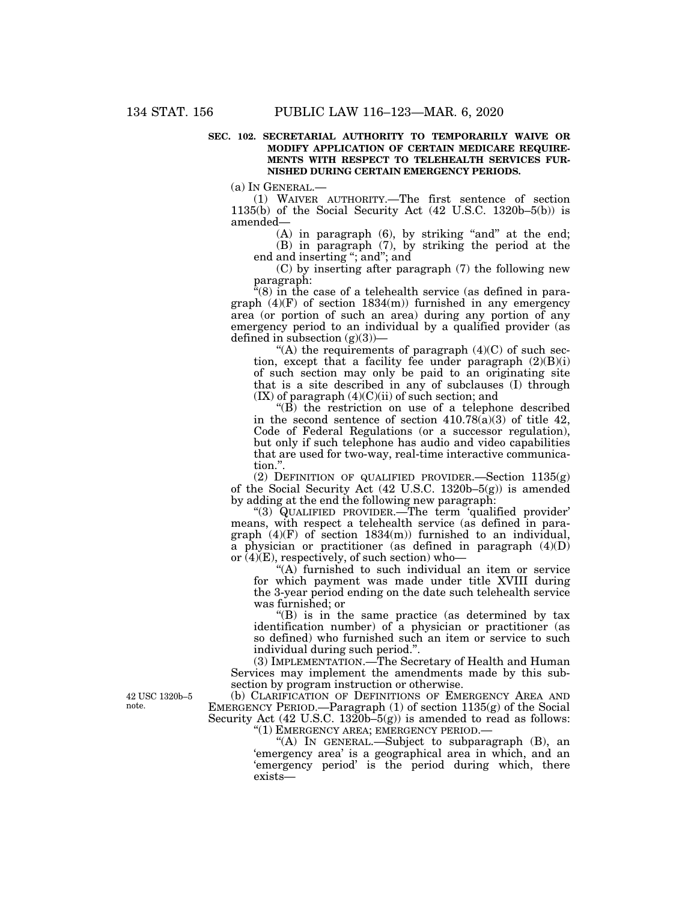## **SEC. 102. SECRETARIAL AUTHORITY TO TEMPORARILY WAIVE OR MODIFY APPLICATION OF CERTAIN MEDICARE REQUIRE-MENTS WITH RESPECT TO TELEHEALTH SERVICES FUR-NISHED DURING CERTAIN EMERGENCY PERIODS.**

(a) IN GENERAL.—

(1) WAIVER AUTHORITY.—The first sentence of section 1135(b) of the Social Security Act (42 U.S.C. 1320b–5(b)) is amended—

 $(A)$  in paragraph  $(6)$ , by striking "and" at the end; (B) in paragraph (7), by striking the period at the end and inserting "; and"; and

(C) by inserting after paragraph (7) the following new paragraph:

"(8) in the case of a telehealth service (as defined in paragraph  $(4)(F)$  of section  $1834(m)$  furnished in any emergency area (or portion of such an area) during any portion of any emergency period to an individual by a qualified provider (as defined in subsection  $(g)(3)$ )—

"(A) the requirements of paragraph  $(4)(C)$  of such section, except that a facility fee under paragraph  $(2)(B)(i)$ of such section may only be paid to an originating site that is a site described in any of subclauses (I) through  $(IX)$  of paragraph  $(4)(C)(ii)$  of such section; and

 $(E)$  the restriction on use of a telephone described in the second sentence of section  $410.78(a)(3)$  of title  $42$ , Code of Federal Regulations (or a successor regulation), but only if such telephone has audio and video capabilities that are used for two-way, real-time interactive communication.''.

(2) DEFINITION OF QUALIFIED PROVIDER.—Section 1135(g) of the Social Security Act (42 U.S.C. 1320b–5(g)) is amended by adding at the end the following new paragraph:

''(3) QUALIFIED PROVIDER.—The term 'qualified provider' means, with respect a telehealth service (as defined in paragraph (4)(F) of section 1834(m)) furnished to an individual, a physician or practitioner (as defined in paragraph (4)(D) or  $(4)(E)$ , respectively, of such section) who-

"(A) furnished to such individual an item or service for which payment was made under title XVIII during the 3-year period ending on the date such telehealth service was furnished; or

 $f(B)$  is in the same practice (as determined by tax identification number) of a physician or practitioner (as so defined) who furnished such an item or service to such individual during such period.''.

(3) IMPLEMENTATION.—The Secretary of Health and Human Services may implement the amendments made by this subsection by program instruction or otherwise.

(b) CLARIFICATION OF DEFINITIONS OF EMERGENCY AREA AND EMERGENCY PERIOD.—Paragraph (1) of section 1135(g) of the Social Security Act (42 U.S.C. 1320b-5(g)) is amended to read as follows: ''(1) EMERGENCY AREA; EMERGENCY PERIOD.—

> "(A) IN GENERAL.—Subject to subparagraph  $(B)$ , an 'emergency area' is a geographical area in which, and an 'emergency period' is the period during which, there exists—

42 USC 1320b–5 note.